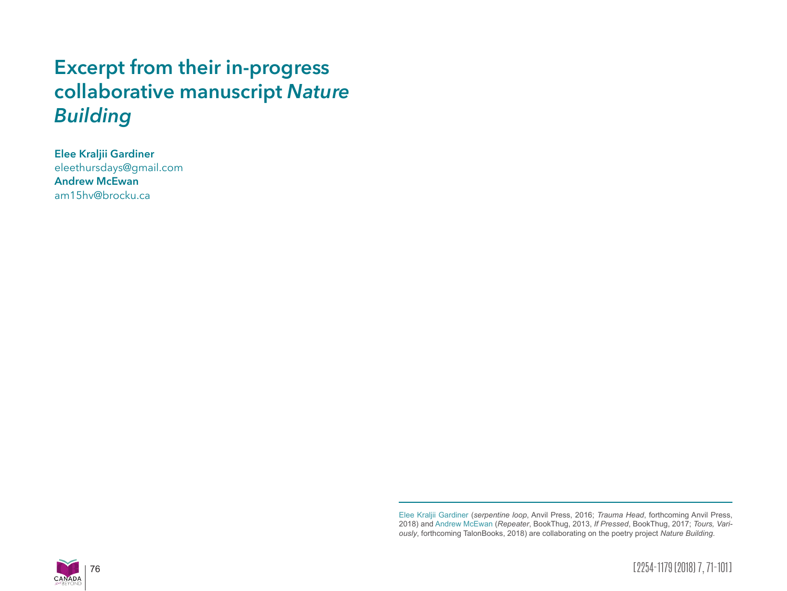# **Excerpt from their in-progress collaborative manuscript** *Nature Building*

**Elee Kraljii Gardiner** eleethursdays@gmail.com **Andrew McEwan** am15hv@brocku.ca





Elee Kraljii Gardiner (*serpentine loop*, Anvil Press, 2016; *Trauma Head*, forthcoming Anvil Press, 2018) and Andrew McEwan (*Repeater*, BookThug, 2013, *If Pressed*, BookThug, 2017; *Tours, Variously*, forthcoming TalonBooks, 2018) are collaborating on the poetry project *Nature Building*.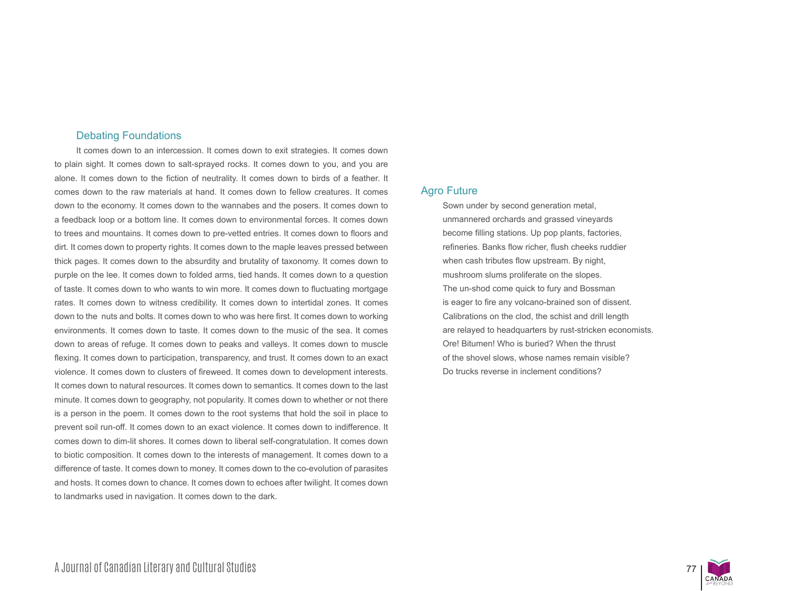#### Debating Foundations

It comes down to an intercession. It comes down to exit strategies. It comes down to plain sight. It comes down to salt-sprayed rocks. It comes down to you, and you are alone. It comes down to the fiction of neutrality. It comes down to birds of a feather. It comes down to the raw materials at hand. It comes down to fellow creatures. It comes down to the economy. It comes down to the wannabes and the posers. It comes down to a feedback loop or a bottom line. It comes down to environmental forces. It comes down to trees and mountains. It comes down to pre-vetted entries. It comes down to floors and dirt. It comes down to property rights. It comes down to the maple leaves pressed between thick pages. It comes down to the absurdity and brutality of taxonomy. It comes down to purple on the lee. It comes down to folded arms, tied hands. It comes down to a question of taste. It comes down to who wants to win more. It comes down to fluctuating mortgage rates. It comes down to witness credibility. It comes down to intertidal zones. It comes down to the nuts and bolts. It comes down to who was here first. It comes down to working environments. It comes down to taste. It comes down to the music of the sea. It comes down to areas of refuge. It comes down to peaks and valleys. It comes down to muscle flexing. It comes down to participation, transparency, and trust. It comes down to an exact violence. It comes down to clusters of fireweed. It comes down to development interests. It comes down to natural resources. It comes down to semantics. It comes down to the last minute. It comes down to geography, not popularity. It comes down to whether or not there is a person in the poem. It comes down to the root systems that hold the soil in place to prevent soil run-off. It comes down to an exact violence. It comes down to indifference. It comes down to dim-lit shores. It comes down to liberal self-congratulation. It comes down to biotic composition. It comes down to the interests of management. It comes down to a difference of taste. It comes down to money. It comes down to the co-evolution of parasites and hosts. It comes down to chance. It comes down to echoes after twilight. It comes down to landmarks used in navigation. It comes down to the dark.

#### Agro Future

Sown under by second generation metal, unmannered orchards and grassed vineyards become filling stations. Up pop plants, factories, refineries. Banks flow richer, flush cheeks ruddier when cash tributes flow upstream. By night, mushroom slums proliferate on the slopes. The un-shod come quick to fury and Bossman is eager to fire any volcano-brained son of dissent. Calibrations on the clod, the schist and drill length are relayed to headquarters by rust-stricken economists. Ore! Bitumen! Who is buried? When the thrust of the shovel slows, whose names remain visible? Do trucks reverse in inclement conditions?

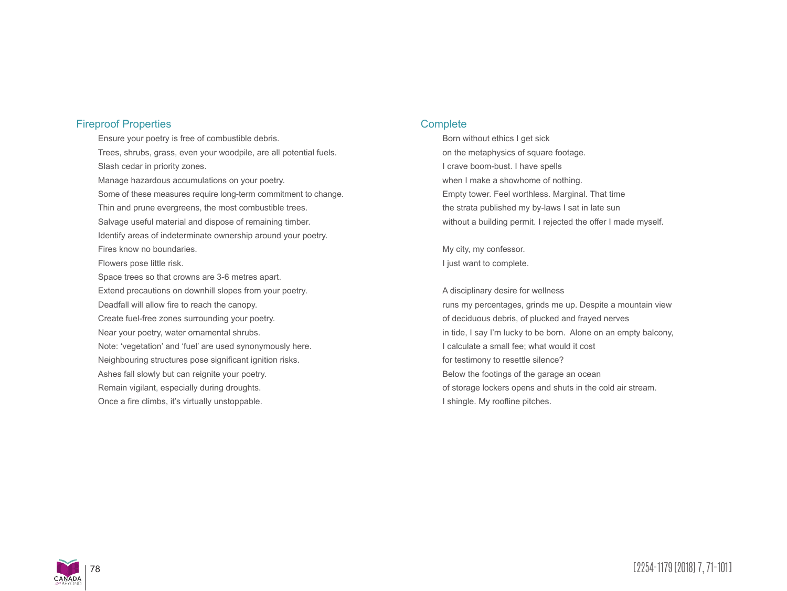## Fireproof Properties

Ensure your poetry is free of combustible debris. Trees, shrubs, grass, even your woodpile, are all potential fuels. Slash cedar in priority zones. Manage hazardous accumulations on your poetry. Some of these measures require long-term commitment to change. Thin and prune evergreens, the most combustible trees. Salvage useful material and dispose of remaining timber. Identify areas of indeterminate ownership around your poetry. Fires know no boundaries. Flowers pose little risk. Space trees so that crowns are 3-6 metres apart. Extend precautions on downhill slopes from your poetry. Deadfall will allow fire to reach the canopy. Create fuel-free zones surrounding your poetry. Near your poetry, water ornamental shrubs. Note: 'vegetation' and 'fuel' are used synonymously here. Neighbouring structures pose significant ignition risks. Ashes fall slowly but can reignite your poetry. Remain vigilant, especially during droughts. Once a fire climbs, it's virtually unstoppable.

#### **Complete**

Born without ethics I get sick on the metaphysics of square footage. I crave boom-bust. I have spells when I make a showhome of nothing. Empty tower. Feel worthless. Marginal. That time the strata published my by-laws I sat in late sun without a building permit. I rejected the offer I made myself.

My city, my confessor. I just want to complete.

A disciplinary desire for wellness runs my percentages, grinds me up. Despite a mountain view of deciduous debris, of plucked and frayed nerves in tide, I say I'm lucky to be born. Alone on an empty balcony, I calculate a small fee; what would it cost for testimony to resettle silence? Below the footings of the garage an ocean of storage lockers opens and shuts in the cold air stream. I shingle. My roofline pitches.